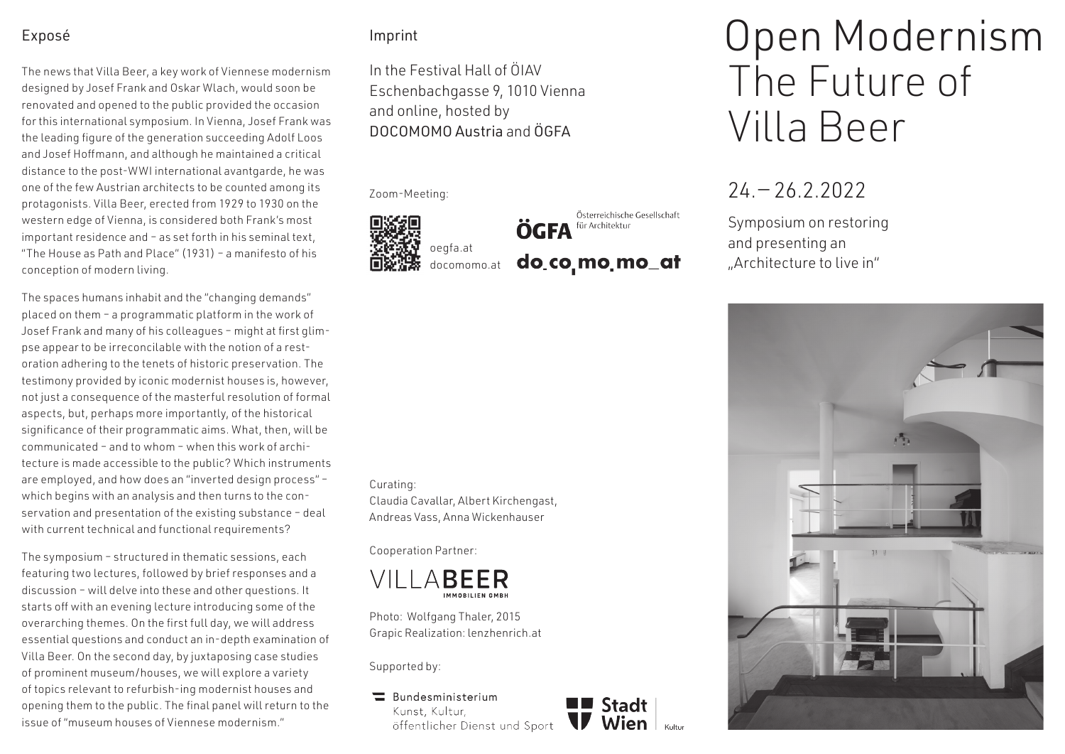### Exposé

The news that Villa Beer, a key work of Viennese modernism designed by Josef Frank and Oskar Wlach, would soon be renovated and opened to the public provided the occasion for this international symposium. In Vienna, Josef Frank was the leading figure of the generation succeeding Adolf Loos and Josef Hoffmann, and although he maintained a critical distance to the post-WWI international avantgarde, he was one of the few Austrian architects to be counted among its protagonists. Villa Beer, erected from 1929 to 1930 on the western edge of Vienna, is considered both Frank's most important residence and – as set forth in his seminal text, "The House as Path and Place" (1931) – a manifesto of his conception of modern living.

The spaces humans inhabit and the "changing demands" placed on them – a programmatic platform in the work of Josef Frank and many of his colleagues – might at first glimpse appear to be irreconcilable with the notion of a restoration adhering to the tenets of historic preservation. The testimony provided by iconic modernist houses is, however, not just a consequence of the masterful resolution of formal aspects, but, perhaps more importantly, of the historical significance of their programmatic aims. What, then, will be communicated – and to whom – when this work of architecture is made accessible to the public? Which instruments are employed, and how does an "inverted design process" – which begins with an analysis and then turns to the conservation and presentation of the existing substance – deal with current technical and functional requirements?

The symposium – structured in thematic sessions, each featuring two lectures, followed by brief responses and a discussion – will delve into these and other questions. It starts off with an evening lecture introducing some of the overarching themes. On the first full day, we will address essential questions and conduct an in-depth examination of Villa Beer. On the second day, by juxtaposing case studies of prominent museum/houses, we will explore a variety of topics relevant to refurbish-ing modernist houses and opening them to the public. The final panel will return to the issue of "museum houses of Viennese modernism."

### Imprint

In the Festival Hall of ÖIAV Eschenbachgasse 9, 1010 Vienna and online, hosted by DOCOMOMO Austria and ÖGFA





Österreichische Gesellschaft **OGFA** für Architektur do co mo mo at

#### Curating:

Claudia Cavallar, Albert Kirchengast, Andreas Vass, Anna Wickenhauser

Cooperation Partner:



Photo: Wolfgang Thaler, 2015 Grapic Realization: lenzhenrich.at

Supported by:

 $\equiv$ Bundesministerium Kunst, Kultur, öffentlicher Dienst und Sport



# Open Modernism The Future of Villa Beer

## $24 - 26.22022$

Symposium on restoring and presenting an "Architecture to live in"